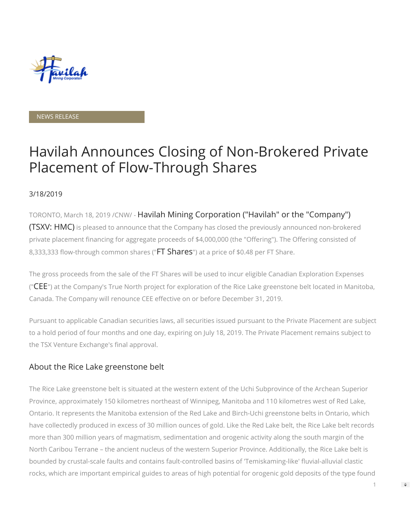

### NEWS RELEASE

# Havilah Announces Closing of Non-Brokered Private Placement of Flow-Through Shares

### 3/18/2019

TORONTO, March 18, 2019 /CNW/ - Havilah Mining Corporation ("Havilah" or the "Company") **(TSXV: HMC)** is pleased to announce that the Company has closed the previously announced non-brokered private placement financing for aggregate proceeds of \$4,000,000 (the "Offering"). The Offering consisted of 8,333,333 flow-through common shares ("FT Shares") at a price of \$0.48 per FT Share.

The gross proceeds from the sale of the FT Shares will be used to incur eligible Canadian Exploration Expenses ("CEE") at the Company's True North project for exploration of the Rice Lake greenstone belt located in Manitoba, Canada. The Company will renounce CEE effective on or before December 31, 2019.

Pursuant to applicable Canadian securities laws, all securities issued pursuant to the Private Placement are subject to a hold period of four months and one day, expiring on July 18, 2019. The Private Placement remains subject to the TSX Venture Exchange's final approval.

# About the Rice Lake greenstone belt

The Rice Lake greenstone belt is situated at the western extent of the Uchi Subprovince of the Archean Superior Province, approximately 150 kilometres northeast of Winnipeg, Manitoba and 110 kilometres west of Red Lake, Ontario. It represents the Manitoba extension of the Red Lake and Birch-Uchi greenstone belts in Ontario, which have collectedly produced in excess of 30 million ounces of gold. Like the Red Lake belt, the Rice Lake belt records more than 300 million years of magmatism, sedimentation and orogenic activity along the south margin of the North Caribou Terrane – the ancient nucleus of the western Superior Province. Additionally, the Rice Lake belt is bounded by crustal-scale faults and contains fault-controlled basins of 'Temiskaming-like' fluvial-alluvial clastic rocks, which are important empirical guides to areas of high potential for orogenic gold deposits of the type found

1

 $\Rightarrow$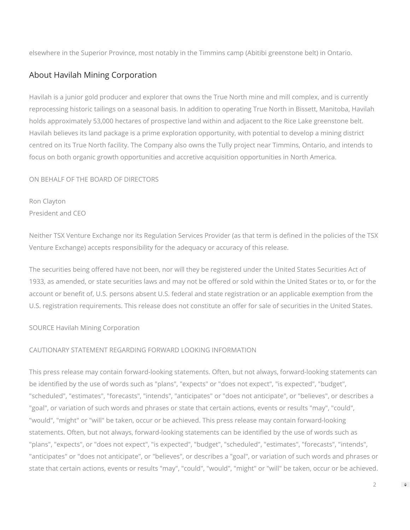elsewhere in the Superior Province, most notably in the Timmins camp (Abitibi greenstone belt) in Ontario.

# About Havilah Mining Corporation

Havilah is a junior gold producer and explorer that owns the True North mine and mill complex, and is currently reprocessing historic tailings on a seasonal basis. In addition to operating True North in Bissett, Manitoba, Havilah holds approximately 53,000 hectares of prospective land within and adjacent to the Rice Lake greenstone belt. Havilah believes its land package is a prime exploration opportunity, with potential to develop a mining district centred on its True North facility. The Company also owns the Tully project near Timmins, Ontario, and intends to focus on both organic growth opportunities and accretive acquisition opportunities in North America.

## ON BEHALF OF THE BOARD OF DIRECTORS

Ron Clayton President and CEO

Neither TSX Venture Exchange nor its Regulation Services Provider (as that term is defined in the policies of the TSX Venture Exchange) accepts responsibility for the adequacy or accuracy of this release.

The securities being offered have not been, nor will they be registered under the United States Securities Act of 1933, as amended, or state securities laws and may not be offered or sold within the United States or to, or for the account or benefit of, U.S. persons absent U.S. federal and state registration or an applicable exemption from the U.S. registration requirements. This release does not constitute an offer for sale of securities in the United States.

# SOURCE Havilah Mining Corporation

# CAUTIONARY STATEMENT REGARDING FORWARD LOOKING INFORMATION

This press release may contain forward-looking statements. Often, but not always, forward-looking statements can be identified by the use of words such as "plans", "expects" or "does not expect", "is expected", "budget", "scheduled", "estimates", "forecasts", "intends", "anticipates" or "does not anticipate", or "believes", or describes a "goal", or variation of such words and phrases or state that certain actions, events or results "may", "could", "would", "might" or "will" be taken, occur or be achieved. This press release may contain forward-looking statements. Often, but not always, forward-looking statements can be identified by the use of words such as "plans", "expects", or "does not expect", "is expected", "budget", "scheduled", "estimates", "forecasts", "intends", "anticipates" or "does not anticipate", or "believes", or describes a "goal", or variation of such words and phrases or state that certain actions, events or results "may", "could", "would", "might" or "will" be taken, occur or be achieved.

 $\mathfrak{D}$ 

 $\Rightarrow$